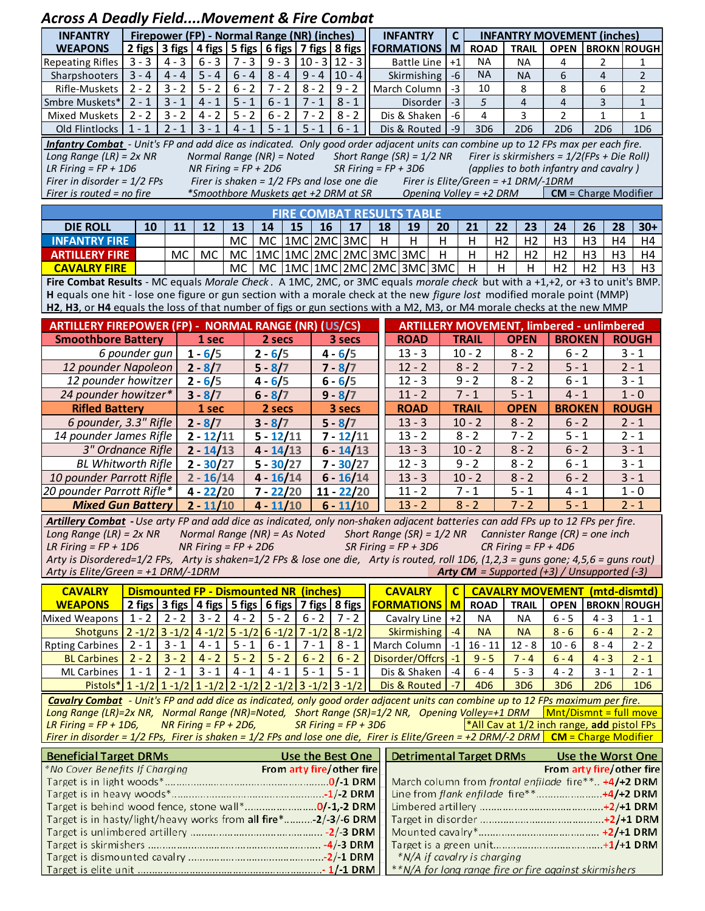## *Across A Deadly Field....Movement & Fire Combat*

|                                                                                                                                                                                                    |                                  | <b>INFANTRY MOVEMENT (inches)</b> |  |  |  |  |  |  |  |  |  |  |  |
|----------------------------------------------------------------------------------------------------------------------------------------------------------------------------------------------------|----------------------------------|-----------------------------------|--|--|--|--|--|--|--|--|--|--|--|
| 2 figs 3 figs 4 figs 5 figs 6 figs 7 figs 8 figs<br><b>WEAPONS</b><br><b>FORMATIONS   M</b><br><b>ROAD</b><br><b>TRAIL</b>                                                                         |                                  | <b>OPEN BROKN ROUGH</b>           |  |  |  |  |  |  |  |  |  |  |  |
| $3 - 3$<br>$4 - 3$<br>$6 - 3$<br>$7 - 3$<br>$9 - 3$<br><b>NA</b><br>$10 - 3112 - 3$<br><b>Repeating Rifles</b><br>$+1$<br>Battle Line<br><b>NA</b><br>4                                            | 2                                | 1                                 |  |  |  |  |  |  |  |  |  |  |  |
| $8 - 4$<br>$9 - 4$<br><b>NA</b><br>$4 - 4$<br>$5 - 4$<br>$6 - 4$<br>$10 - 4$<br>$3 - 4$<br>$-6$<br>6<br>Sharpshooters<br>Skirmishing<br><b>NA</b>                                                  | $\overline{4}$                   | $\overline{2}$                    |  |  |  |  |  |  |  |  |  |  |  |
| $3 - 2$<br>$\overline{5} - 2$<br>$6 - 2$<br>$7 - 2$<br>$8 - 2$<br>8<br>$2 - 2$<br>$9 - 2$<br>10<br>Rifle-Muskets<br>$-3$<br>8<br>March Column                                                      | 6                                | $\overline{2}$                    |  |  |  |  |  |  |  |  |  |  |  |
| $5 - 1$<br>$6 - 1$<br>$-3$<br>$3 - 1$<br>$4 - 1$<br>$7 - 1$<br>$8 - 1$<br>5<br>$2 - 1$<br>$\overline{4}$<br>$\overline{4}$<br>Smbre Muskets*<br>Disorder                                           | 3                                | $\mathbf{1}$                      |  |  |  |  |  |  |  |  |  |  |  |
| $5 - 2$<br>$6 - 2$<br>$2 - 2$<br>$3 - 2$<br>$4 - 2$<br>$7 - 2$<br>$8 - 2$<br>3<br>$\overline{2}$<br>Dis & Shaken<br>$-6$<br>4<br><b>Mixed Muskets</b>                                              | $\mathbf{1}$                     | $\mathbf{1}$                      |  |  |  |  |  |  |  |  |  |  |  |
| $3 - 1$<br>$5 - 1$<br>$5 - 1$<br>$1 - 1$<br>$2 - 1$<br>$4 - 1$<br>$6 - 1$<br>$-9$<br>Dis & Routed<br>3D6<br>2D <sub>6</sub><br><b>2D6</b><br>Old Flintlocks                                        | 2D <sub>6</sub>                  | 1D <sub>6</sub>                   |  |  |  |  |  |  |  |  |  |  |  |
| Infantry Combat - Unit's FP and add dice as indicated. Only good order adjacent units can combine up to 12 FPs max per each fire.                                                                  |                                  |                                   |  |  |  |  |  |  |  |  |  |  |  |
| Short Range (SR) = $1/2$ NR<br>Firer is skirmishers = $1/2$ (FPs + Die Roll)<br>Long Range (LR) = $2x$ NR<br>Normal Range (NR) = Noted                                                             |                                  |                                   |  |  |  |  |  |  |  |  |  |  |  |
| LR Firing = $FP + 1D6$<br>NR Firing = $FP + 2D6$<br>SR Firing = $FP + 3D6$<br>(applies to both infantry and cavalry)                                                                               |                                  |                                   |  |  |  |  |  |  |  |  |  |  |  |
| Firer in disorder = $1/2$ FPs<br>Firer is shaken = $1/2$ FPs and lose one die<br>Firer is Elite/Green = $+1$ DRM/-1DRM<br>*Smoothbore Muskets get +2 DRM at SR                                     |                                  |                                   |  |  |  |  |  |  |  |  |  |  |  |
| Opening Volley = $+2$ DRM<br>$CM = Charge$ Modifier<br>Firer is routed = no fire                                                                                                                   |                                  |                                   |  |  |  |  |  |  |  |  |  |  |  |
| <b>FIRE COMBAT RESULTS TABLE</b>                                                                                                                                                                   |                                  |                                   |  |  |  |  |  |  |  |  |  |  |  |
| 14<br>15<br>16<br>17<br>18<br>19<br>21<br>22<br><b>DIE ROLL</b><br>10<br>11<br>12<br>13<br>20<br>23<br>24                                                                                          | 26<br>28                         | $30+$                             |  |  |  |  |  |  |  |  |  |  |  |
| 1MC 2MC 3MC<br>H<br><b>INFANTRY FIRE</b><br>MC<br>MC<br>H<br>H<br>H<br>H <sub>2</sub><br>H <sub>2</sub><br>H <sub>3</sub>                                                                          | H <sub>3</sub><br>H4             | H4                                |  |  |  |  |  |  |  |  |  |  |  |
| 1MC 1MC 2MC 2MC 3MC 3MC<br>H<br>H<br>MC<br>MC<br>H <sub>2</sub><br>H <sub>2</sub><br>H <sub>2</sub><br>MC<br><b>ARTILLERY FIRE</b>                                                                 | H <sub>3</sub><br>H3             | H4                                |  |  |  |  |  |  |  |  |  |  |  |
| $MC$  1MC 1MC 2MC 2MC 3MC 3MC<br>H<br><b>CAVALRY FIRE</b><br>H<br>H<br>H <sub>2</sub><br><b>MC</b>                                                                                                 | H <sub>2</sub><br>H <sub>3</sub> | H3                                |  |  |  |  |  |  |  |  |  |  |  |
| Fire Combat Results - MC equals Morale Check. A 1MC, 2MC, or 3MC equals morale check but with a +1,+2, or +3 to unit's BMP.                                                                        |                                  |                                   |  |  |  |  |  |  |  |  |  |  |  |
| H equals one hit - lose one figure or gun section with a morale check at the new figure lost modified morale point (MMP)                                                                           |                                  |                                   |  |  |  |  |  |  |  |  |  |  |  |
| H2, H3, or H4 equals the loss of that number of figs or gun sections with a M2, M3, or M4 morale checks at the new MMP                                                                             |                                  |                                   |  |  |  |  |  |  |  |  |  |  |  |
| <b>ARTILLERY FIREPOWER (FP) - NORMAL RANGE (NR) (US/CS)</b><br><b>ARTILLERY MOVEMENT, limbered - unlimbered</b>                                                                                    |                                  |                                   |  |  |  |  |  |  |  |  |  |  |  |
| <b>Smoothbore Battery</b><br><b>OPEN</b><br><b>BROKEN</b><br>1 sec<br>2 secs<br>3 secs<br><b>ROAD</b><br><b>TRAIL</b>                                                                              |                                  | <b>ROUGH</b>                      |  |  |  |  |  |  |  |  |  |  |  |
| 6 pounder qun<br>$1 - 6/5$<br>$13 - 3$<br>$10 - 2$<br>$8 - 2$<br>$2 - 6/5$<br>$4 - 6/5$<br>$6 - 2$                                                                                                 |                                  | $3 - 1$                           |  |  |  |  |  |  |  |  |  |  |  |
| 12 pounder Napoleon<br>$12 - 2$<br>$2 - 8/7$<br>$7 - 8/7$<br>$8 - 2$<br>$7 - 2$<br>$5 - 1$<br>$5 - 8/7$                                                                                            |                                  | $2 - 1$                           |  |  |  |  |  |  |  |  |  |  |  |
| $12 - 3$<br>12 pounder howitzer<br>$9 - 2$<br>$8 - 2$<br>$6 - 1$<br>$2 - 6/5$<br>$4 - 6/5$<br>$6 - 6/5$                                                                                            |                                  | $3 - 1$                           |  |  |  |  |  |  |  |  |  |  |  |
| 24 pounder howitzer*<br>$11 - 2$<br>$7 - 1$<br>$5 - 1$<br>$3 - 8/7$<br>$6 - 8/7$<br>$9 - 8/7$<br>$4 - 1$                                                                                           |                                  | $1 - 0$                           |  |  |  |  |  |  |  |  |  |  |  |
| 1 sec<br><b>ROAD</b><br><b>Rifled Battery</b><br>2 secs<br>3 secs<br><b>TRAIL</b><br><b>OPEN</b><br><b>BROKEN</b>                                                                                  |                                  | <b>ROUGH</b>                      |  |  |  |  |  |  |  |  |  |  |  |
| 6 pounder, 3.3" Rifle<br>$2 - 8/7$<br>$3 - 8/7$<br>$13 - 3$<br>$10 - 2$<br>$5 - 8/7$<br>$8 - 2$<br>$6 - 2$                                                                                         |                                  | $2 - 1$                           |  |  |  |  |  |  |  |  |  |  |  |
| 14 pounder James Rifle<br>$13 - 2$<br>$8 - 2$<br>$7 - 2$<br>$2 - 12/11$<br>$5 - 12/11$<br>$7 - 12/11$<br>$5 - 1$                                                                                   |                                  | $2 - 1$                           |  |  |  |  |  |  |  |  |  |  |  |
| $13 - 3$<br>3" Ordnance Rifle<br>$2 - 14/13$<br>$10 - 2$<br>$8 - 2$<br>$6 - 2$<br>$4 - 14/13$<br>$6 - 14/13$                                                                                       | $3 - 1$                          |                                   |  |  |  |  |  |  |  |  |  |  |  |
| $12 - 3$<br><b>BL Whitworth Rifle</b><br>$2 - 30/27$<br>$9 - 2$<br>$8 - 2$<br>$5 - 30/27$<br>$7 - 30/27$<br>$6 - 1$                                                                                |                                  | $3 - 1$                           |  |  |  |  |  |  |  |  |  |  |  |
| $13 - 3$<br>$10 - 2$<br>$8 - 2$<br>$6 - 2$<br>10 pounder Parrott Rifle<br>$2 - 16/14$<br>$4 - 16/14$<br>$6 - 16/14$                                                                                |                                  | $3 - 1$                           |  |  |  |  |  |  |  |  |  |  |  |
| $11 - 2$<br>20 pounder Parrott Rifle*<br>$4 - 22/20$<br>$7 - 22/20$<br>$11 - 22/20$<br>$7 - 1$<br>$5 - 1$<br>$4 - 1$                                                                               |                                  | $1 - 0$                           |  |  |  |  |  |  |  |  |  |  |  |
| $13 - 2$<br>$8 - 2$<br>$7 - 2$<br><b>Mixed Gun Battery</b><br>$2 - 11/10$<br>$4 - 11/10$<br>$6 - 11/10$<br>$5 - 1$                                                                                 |                                  | $2 - 1$                           |  |  |  |  |  |  |  |  |  |  |  |
| Artillery Combat - Use arty FP and add dice as indicated, only non-shaken adjacent batteries can add FPs up to 12 FPs per fire.                                                                    |                                  |                                   |  |  |  |  |  |  |  |  |  |  |  |
| Long Range (LR) = $2x$ NR<br>Normal Range (NR) = As Noted<br>Short Range (SR) = $1/2$ NR Cannister Range (CR) = one inch                                                                           |                                  |                                   |  |  |  |  |  |  |  |  |  |  |  |
| LR Firing = $FP + 1D6$<br>NR Firing = $FP + 2D6$<br>$SR$ Firing = FP + 3D6<br>$CR$ Firing = FP + 4D6                                                                                               |                                  |                                   |  |  |  |  |  |  |  |  |  |  |  |
| Arty is Disordered=1/2 FPs, Arty is shaken=1/2 FPs & lose one die, Arty is routed, roll 1D6, (1,2,3 = guns gone; 4,5,6 = guns rout)                                                                |                                  |                                   |  |  |  |  |  |  |  |  |  |  |  |
| Arty is Elite/Green = +1 DRM/-1DRM<br><b>Arty CM</b> = Supported $(+3)$ / Unsupported $(-3)$                                                                                                       |                                  |                                   |  |  |  |  |  |  |  |  |  |  |  |
| <b>CAVALRY</b><br><b>Dismounted FP - Dismounted NR (inches)</b><br><b>CAVALRY MOVEMENT</b>                                                                                                         |                                  | (mtd-dismtd)                      |  |  |  |  |  |  |  |  |  |  |  |
| <b>CAVALRY</b><br>$\mathbf C$<br>2 figs   3 figs   4 figs   5 figs   6 figs   7 figs   8 figs<br><b>WEAPONS</b><br><b>FORMATIONS</b><br>$\mathbf{M}$<br><b>TRAIL</b><br><b>OPEN</b><br><b>ROAD</b> |                                  | <b>BROKN ROUGH</b>                |  |  |  |  |  |  |  |  |  |  |  |
| $1 - 2$<br>$2 - 2$ $3 - 2$ $4 - 2$ $5 - 2$<br>$6 - 2$<br>$7 - 2$<br>$6 - 5$<br>Cavalry Line +2<br><b>NA</b><br><b>Mixed Weapons</b><br><b>NA</b>                                                   | $4 - 3$                          | $1 - 1$                           |  |  |  |  |  |  |  |  |  |  |  |
| $2 - 1/2$ 3 $-1/2$ 4 $-1/2$ 5 $-1/2$ 6 $-1/2$ 7 $-1/2$ 8 $-1/2$<br>Skirmishing<br>$-4$<br>$8 - 6$<br>Shotguns<br><b>NA</b><br><b>NA</b>                                                            | $6 - 4$                          | $2 - 2$                           |  |  |  |  |  |  |  |  |  |  |  |
| $2 - 1$<br>$3 - 1$<br>$5 - 1$<br>$4 - 1$<br>$6 - 1$<br>$7 - 1$<br>$8 - 1$<br>March Column<br>$-1$<br><b>Rpting Carbines</b><br>$16 - 11$<br>$12 - 8$<br>$10 - 6$                                   | $8 - 4$                          | $2 - 2$                           |  |  |  |  |  |  |  |  |  |  |  |
| $2 - 2$<br>$3 - 2$ 4 - 2<br>$5 - 2$<br>$5 - 2$<br>$6 - 2$<br>$6 - 2$<br>Disorder/Offcrs<br><b>BL Carbines</b><br>$-1$<br>$9 - 5$<br>$7 - 4$<br>$6 - 4$                                             | $4 - 3$                          | $2 - 1$                           |  |  |  |  |  |  |  |  |  |  |  |
| $3 - 1$<br>$5 - 1$<br>$5 - 1$<br>$1 - 1$<br>$2 - 1$<br>$4 - 1$<br>$4 - 1$<br><b>ML Carbines</b><br>Dis & Shaken<br>$6 - 4$<br>$5 - 3$<br>$-4$<br>$4 - 2$                                           | $3 - 1$                          | $2 - 1$                           |  |  |  |  |  |  |  |  |  |  |  |
| Pistols* 1 -1/2 1 -1/2 1 -1/2 2 -1/2 2 -1/2 3 -1/2 3 -1/2<br>Dis & Routed<br>$-7$<br>4D <sub>6</sub><br>3D <sub>6</sub><br>3D <sub>6</sub>                                                         | <b>2D6</b>                       | 1 <sub>D6</sub>                   |  |  |  |  |  |  |  |  |  |  |  |
| Cavalry Combat - Unit's FP and add dice as indicated, only good order adjacent units can combine up to 12 FPs maximum per fire.                                                                    |                                  |                                   |  |  |  |  |  |  |  |  |  |  |  |
| Long Range (LR)=2x NR, Normal Range (NR)=Noted, Short Range (SR)=1/2 NR, Opening Volley=+1 DRM<br>$Mnt/Dismnt = full move$                                                                         |                                  |                                   |  |  |  |  |  |  |  |  |  |  |  |
| NR Firing = $FP + 2D6$ ,<br>SR Firing = $FP + 3D6$<br><sup>*</sup> All Cav at $1/2$ inch range, add pistol FPs<br>LR Firing = $FP + 1D6$ ,                                                         |                                  |                                   |  |  |  |  |  |  |  |  |  |  |  |
| Firer in disorder = $1/2$ FPs, Firer is shaken = $1/2$ FPs and lose one die, Firer is Elite/Green = +2 DRM/-2 DRM   CM = Charge Modifier                                                           |                                  |                                   |  |  |  |  |  |  |  |  |  |  |  |
| <b>Detrimental Target DRMs</b><br><b>Beneficial Target DRMs</b><br>Use the Best One                                                                                                                |                                  | Use the Worst One                 |  |  |  |  |  |  |  |  |  |  |  |
| From arty fire/other fire<br>*No Cover Benefits If Charging                                                                                                                                        |                                  | From arty fire/other fire         |  |  |  |  |  |  |  |  |  |  |  |
| March column from frontal enfilade fire** +4/+2 DRM                                                                                                                                                |                                  |                                   |  |  |  |  |  |  |  |  |  |  |  |
|                                                                                                                                                                                                    |                                  |                                   |  |  |  |  |  |  |  |  |  |  |  |
| Target is behind wood fence, stone wall*0/-1,-2 DRM                                                                                                                                                |                                  |                                   |  |  |  |  |  |  |  |  |  |  |  |
| Target is in hasty/light/heavy works from all fire*-2/-3/-6 DRM                                                                                                                                    |                                  |                                   |  |  |  |  |  |  |  |  |  |  |  |
|                                                                                                                                                                                                    |                                  |                                   |  |  |  |  |  |  |  |  |  |  |  |
|                                                                                                                                                                                                    |                                  |                                   |  |  |  |  |  |  |  |  |  |  |  |
| *N/A if cavalry is charging                                                                                                                                                                        |                                  |                                   |  |  |  |  |  |  |  |  |  |  |  |
| **N/A for long range fire or fire against skirmishers                                                                                                                                              |                                  |                                   |  |  |  |  |  |  |  |  |  |  |  |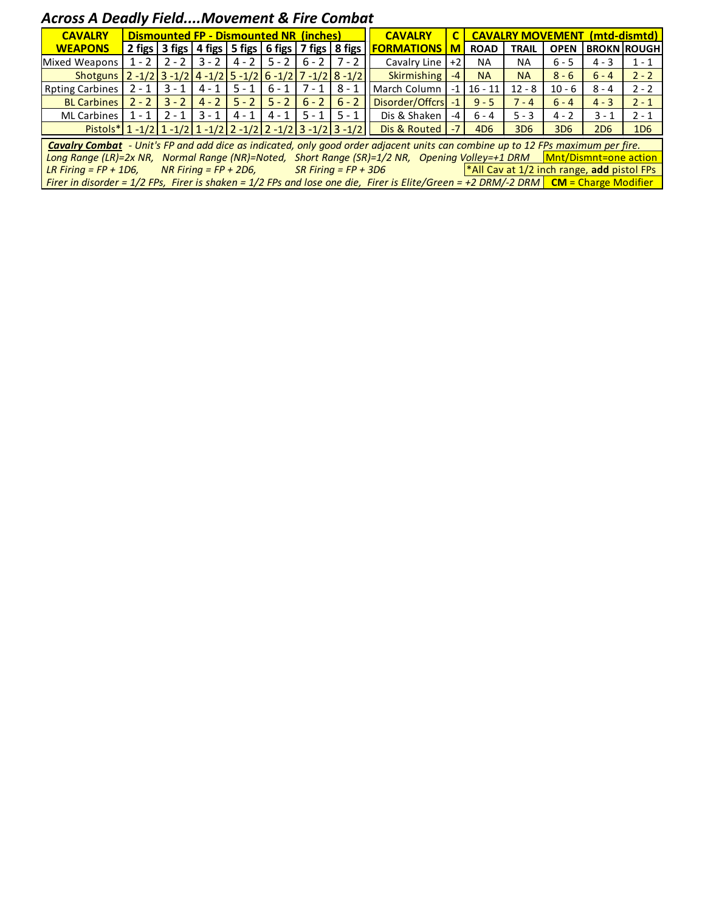## *Across A Deadly Field....Movement & Fire Combat*

| <b>CAVALRY</b>                                                                                                                                | <b>Dismounted FP - Dismounted NR (inches)</b> |         |         |         |         |         |                                                    | <b>CAVALRY</b>     |          | (mtd-dismtd)<br><b>CAVALRY MOVEMENT</b> |                 |                 |                 |                            |  |
|-----------------------------------------------------------------------------------------------------------------------------------------------|-----------------------------------------------|---------|---------|---------|---------|---------|----------------------------------------------------|--------------------|----------|-----------------------------------------|-----------------|-----------------|-----------------|----------------------------|--|
| <b>WEAPONS</b>                                                                                                                                |                                               |         |         |         |         |         | 2 figs 3 figs 4 figs 5 figs 6 figs 7 figs 8 figs 1 | <b>FORMATIONS</b>  | <b>M</b> | <b>ROAD</b>                             | <b>TRAIL</b>    |                 |                 | <b>OPEN   BROKN ROUGH </b> |  |
| Mixed Weapons                                                                                                                                 | $1 - 2$                                       | $2 - 2$ | $3 - 2$ | $4 - 2$ | $5 - 2$ |         | $6 - 2$   7 - 2                                    | Cavalry Line       | $+21$    | <b>NA</b>                               | <b>NA</b>       | $6 - 5$         | $4 - 3$         | $1 - 1$                    |  |
| Shotguns   2 - 1/2   3 - 1/2   4 - 1/2   5 - 1/2   6 - 1/2   7 - 1/2   8 - 1/2                                                                |                                               |         |         |         |         |         |                                                    | <b>Skirmishing</b> | $-4$     | <b>NA</b>                               | <b>NA</b>       | $8 - 6$         | $6 - 4$         | $2 - 2$                    |  |
| <b>Rpting Carbines</b>                                                                                                                        | $2 - 1$                                       | $3 - 1$ | $4 - 1$ | $5 - 1$ | $6 - 1$ | $7 - 1$ | $8 - 1$                                            | March Column       | $-1$     | $16 - 11$                               | $12 - 8$        | $10 - 6$        | $8 - 4$         | $2 - 2$                    |  |
| <b>BL Carbines</b>                                                                                                                            | $2 - 2$                                       | $3 - 2$ | $4 - 2$ | $5 - 2$ | $5 - 2$ |         | $6 - 2$ 6 - 2                                      | Disorder/Offcrs    | $-1$     | $9 - 5$                                 | $7 - 4$         | $6 - 4$         | $4 - 3$         | $2 - 1$                    |  |
| <b>ML Carbines</b>                                                                                                                            | $1 - 1$                                       | $2 - 1$ | $3 - 1$ | $4 - 1$ | 4 - 1   | $5 - 1$ | $5 - 1$                                            | Dis & Shaken       | $-4$     | $6 - 4$                                 | $5 - 3$         | $4 - 2$         | $3 - 1$         | $2 - 1$                    |  |
| $Pistols* 1 - 1/2 1 - 1/2 1 - 1/2 2 - 1/2 2 - 1/2 3 - 1/2 3 - 1/2 $                                                                           |                                               |         |         |         |         |         |                                                    | Dis & Routed       | $-71$    | 4D <sub>6</sub>                         | 3D <sub>6</sub> | 3D <sub>6</sub> | 2D <sub>6</sub> | 1D <sub>6</sub>            |  |
| <b>Cavalry Combat</b> - Unit's FP and add dice as indicated, only good order adjacent units can combine up to 12 FPs maximum per fire.        |                                               |         |         |         |         |         |                                                    |                    |          |                                         |                 |                 |                 |                            |  |
| Normal Range (NR)=Noted, Short Range (SR)=1/2 NR, Opening Volley=+1 DRM<br><b>Mnt/Dismnt=one action</b><br>Long Range $(LR)=2x NR$ ,          |                                               |         |         |         |         |         |                                                    |                    |          |                                         |                 |                 |                 |                            |  |
| *All Cav at 1/2 inch range, add pistol FPs<br>$SR$ Firing = FP + 3D6<br>LR Firing = $FP + 1D6$ ,<br>$NR$ Firing = FP + 2D6,                   |                                               |         |         |         |         |         |                                                    |                    |          |                                         |                 |                 |                 |                            |  |
| Firer in disorder = $1/2$ FPs, Firer is shaken = $1/2$ FPs and lose one die, Firer is Elite/Green = +2 DRM/-2 DRM <b>CM</b> = Charge Modifier |                                               |         |         |         |         |         |                                                    |                    |          |                                         |                 |                 |                 |                            |  |
|                                                                                                                                               |                                               |         |         |         |         |         |                                                    |                    |          |                                         |                 |                 |                 |                            |  |
|                                                                                                                                               |                                               |         |         |         |         |         |                                                    |                    |          |                                         |                 |                 |                 |                            |  |